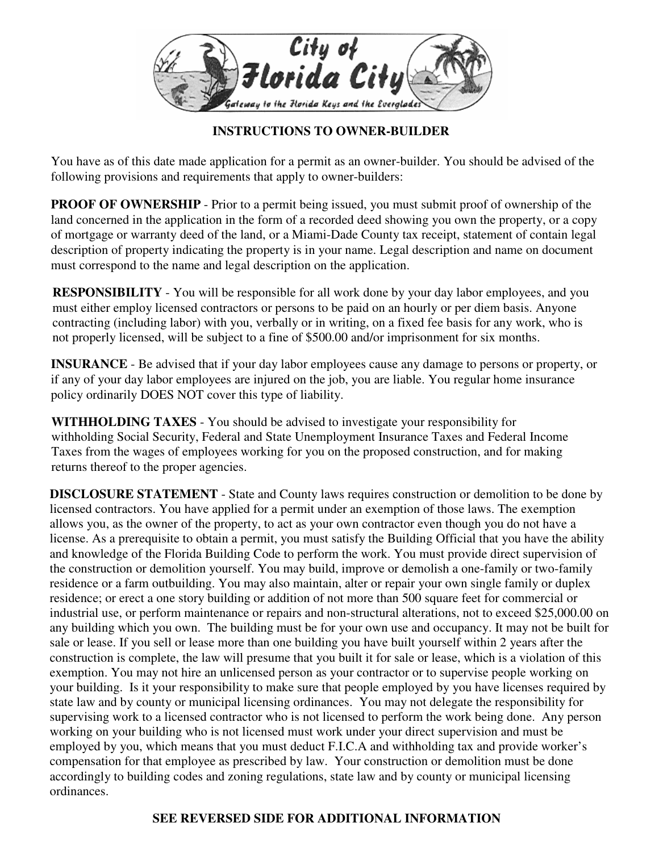

## **INSTRUCTIONS TO OWNER-BUILDER**

 following provisions and requirements that apply to owner-builders: You have as of this date made application for a permit as an owner-builder. You should be advised of the

 **PROOF OF OWNERSHIP** - Prior to a permit being issued, you must submit proof of ownership of the of mortgage or warranty deed of the land, or a Miami-Dade County tax receipt, statement of contain legal land concerned in the application in the form of a recorded deed showing you own the property, or a copy description of property indicating the property is in your name. Legal description and name on document must correspond to the name and legal description on the application.

**RESPONSIBILITY** - You will be responsible for all work done by your day labor employees, and you must either employ licensed contractors or persons to be paid on an hourly or per diem basis. Anyone contracting (including labor) with you, verbally or in writing, on a fixed fee basis for any work, who is not properly licensed, will be subject to a fine of \$500.00 and/or imprisonment for six months.

**INSURANCE** - Be advised that if your day labor employees cause any damage to persons or property, or if any of your day labor employees are injured on the job, you are liable. You regular home insurance policy ordinarily DOES NOT cover this type of liability.

**WITHHOLDING TAXES** - You should be advised to investigate your responsibility for withholding Social Security, Federal and State Unemployment Insurance Taxes and Federal Income Taxes from the wages of employees working for you on the proposed construction, and for making returns thereof to the proper agencies.

**DISCLOSURE STATEMENT** - State and County laws requires construction or demolition to be done by licensed contractors. You have applied for a permit under an exemption of those laws. The exemption allows you, as the owner of the property, to act as your own contractor even though you do not have a license. As a prerequisite to obtain a permit, you must satisfy the Building Official that you have the ability and knowledge of the Florida Building Code to perform the work. You must provide direct supervision of the construction or demolition yourself. You may build, improve or demolish a one-family or two-family residence or a farm outbuilding. You may also maintain, alter or repair your own single family or duplex residence; or erect a one story building or addition of not more than 500 square feet for commercial or industrial use, or perform maintenance or repairs and non-structural alterations, not to exceed [\\$25,000.00](https://25,000.00) on any building which you own. The building must be for your own use and occupancy. It may not be built for sale or lease. If you sell or lease more than one building you have built yourself within 2 years after the construction is complete, the law will presume that you built it for sale or lease, which is a violation of this exemption. You may not hire an unlicensed person as your contractor or to supervise people working on your building. Is it your responsibility to make sure that people employed by you have licenses required by state law and by county or municipal licensing ordinances. You may not delegate the responsibility for supervising work to a licensed contractor who is not licensed to perform the work being done. Any person working on your building who is not licensed must work under your direct supervision and must be employed by you, which means that you must deduct F.I.C.A and withholding tax and provide worker's compensation for that employee as prescribed by law. Your construction or demolition must be done accordingly to building codes and zoning regulations, state law and by county or municipal licensing ordinances.

## **SEE REVERSED SIDE FOR ADDITIONAL INFORMATION**